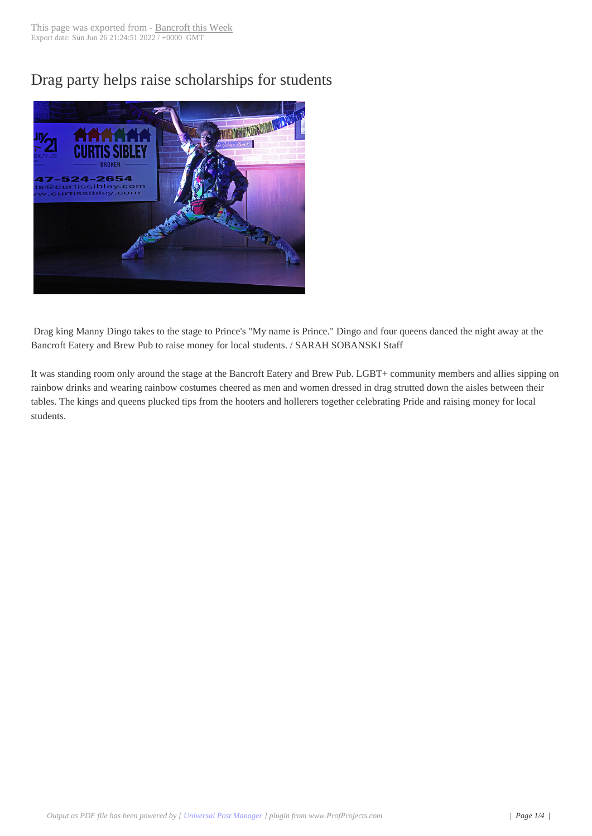Drag party helps ra[ise scholarsh](http://www.bancroftthisweek.com/?p=9223)ips for students



Drag king Manny Dingo takes to the stage to Prince's "My name is Prince." Dingo and four queens danced the night away at the Bancroft Eatery and Brew Pub to raise money for local students. / SARAH SOBANSKI Staff

It was standing room only around the stage at the Bancroft Eatery and Brew Pub. LGBT+ community members and allies sipping on rainbow drinks and wearing rainbow costumes cheered as men and women dressed in drag strutted down the aisles between their tables. The kings and queens plucked tips from the hooters and hollerers together celebrating Pride and raising money for local students.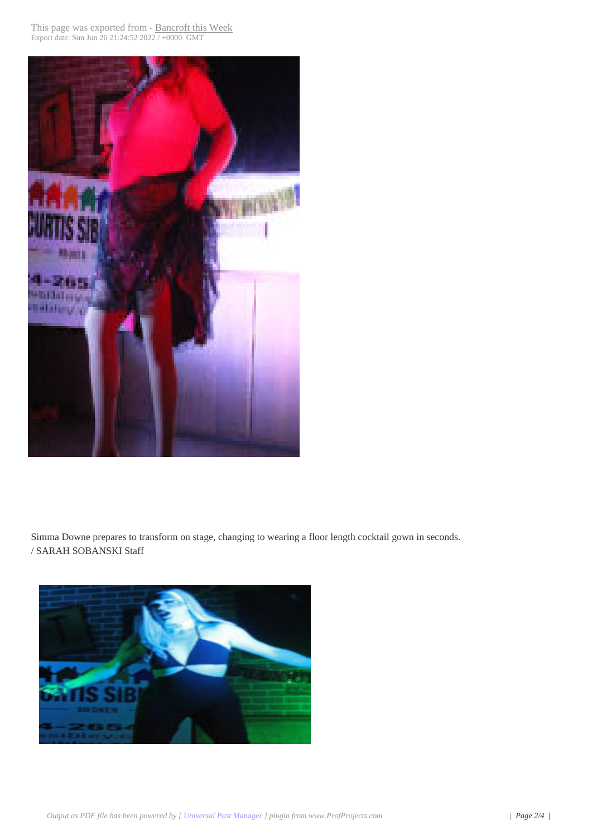

 Simma Downe prepares to transform on stage, changing to wearing a floor length cocktail gown in seconds. / SARAH SOBANSKI Staff

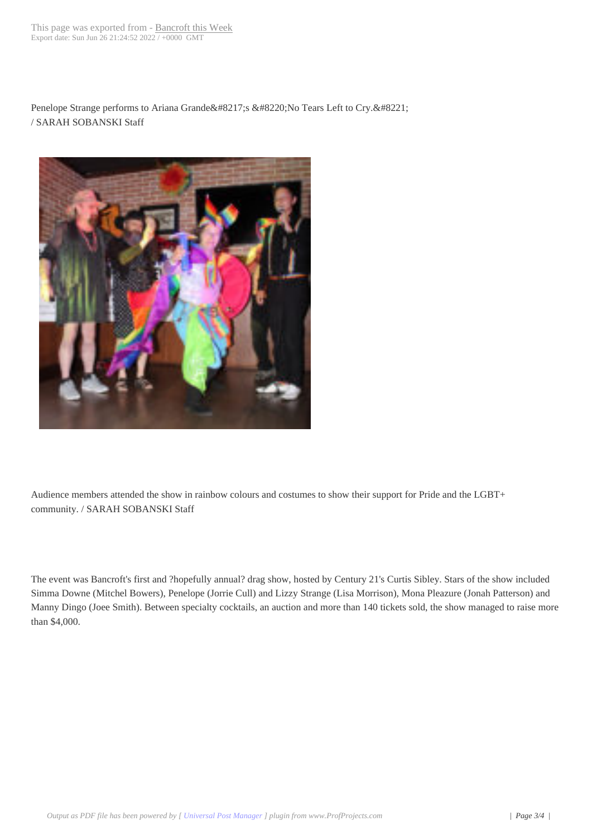Penelope Strange performs to Ariana Grande's "No Tears Left to Cry." / SARAH SOBANSKI Staff



 Audience members attended the show in rainbow colours and costumes to show their support for Pride and the LGBT+ community. / SARAH SOBANSKI Staff

The event was Bancroft's first and ?hopefully annual? drag show, hosted by Century 21's Curtis Sibley. Stars of the show included Simma Downe (Mitchel Bowers), Penelope (Jorrie Cull) and Lizzy Strange (Lisa Morrison), Mona Pleazure (Jonah Patterson) and Manny Dingo (Joee Smith). Between specialty cocktails, an auction and more than 140 tickets sold, the show managed to raise more than \$4,000.